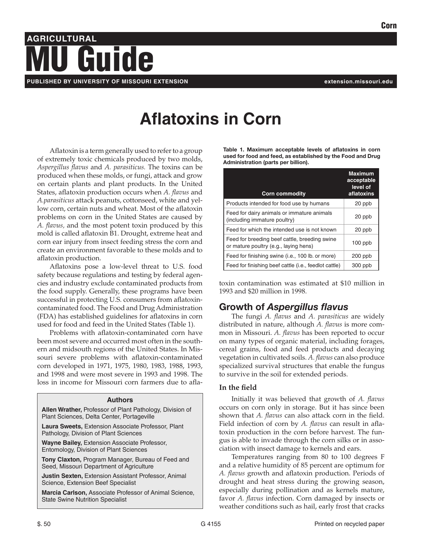Corn

# **AGRICULTURAL PUBLISHED BY UNIVERSITY OF MISSOURI EXTENSION extension.missouri.edu** MU Guide

# **Aflatoxins in Corn**

Aflatoxin is a term generally used to refer to a group of extremely toxic chemicals produced by two molds, *Aspergillus flavus* and *A. parasiticus.* The toxins can be produced when these molds, or fungi, attack and grow on certain plants and plant products. In the United States, aflatoxin production occurs when *A. flavus* and *A.parasiticus* attack peanuts, cottonseed, white and yellow corn, certain nuts and wheat. Most of the aflatoxin problems on corn in the United States are caused by *A. flavus,* and the most potent toxin produced by this mold is called aflatoxin B1. Drought, extreme heat and corn ear injury from insect feeding stress the corn and create an environment favorable to these molds and to aflatoxin production.

Aflatoxins pose a low-level threat to U.S. food safety because regulations and testing by federal agencies and industry exclude contaminated products from the food supply. Generally, these programs have been successful in protecting U.S. consumers from aflatoxincontaminated food. The Food and Drug Administration (FDA) has established guidelines for aflatoxins in corn used for food and feed in the United States (Table 1).

Problems with aflatoxin-contaminated corn have been most severe and occurred most often in the southern and midsouth regions of the United States. In Missouri severe problems with aflatoxin-contaminated corn developed in 1971, 1975, 1980, 1983, 1988, 1993, and 1998 and were most severe in 1993 and 1998. The loss in income for Missouri corn farmers due to afla-

#### **Authors**

**Allen Wrather,** Professor of Plant Pathology, Division of Plant Sciences, Delta Center, Portageville

**Laura Sweets,** Extension Associate Professor, Plant Pathology, Division of Plant Sciences

**Wayne Bailey,** Extension Associate Professor, Entomology, Division of Plant Sciences

**Tony Claxton,** Program Manager, Bureau of Feed and Seed, Missouri Department of Agriculture

**Justin Sexten,** Extension Assistant Professor, Animal Science, Extension Beef Specialist

**Marcia Carlson,** Associate Professor of Animal Science, State Swine Nutrition Specialist

Table 1. Maximum acceptable levels of aflatoxins in corn used for food and feed, as established by the Food and Drug Administration (parts per billion).

| <b>Corn commodity</b>                                                                  | <b>Maximum</b><br>acceptable<br>level of<br>aflatoxins |
|----------------------------------------------------------------------------------------|--------------------------------------------------------|
| Products intended for food use by humans                                               | 20 ppb                                                 |
| Feed for dairy animals or immature animals<br>(including immature poultry)             | 20 ppb                                                 |
| Feed for which the intended use is not known                                           | 20 ppb                                                 |
| Feed for breeding beef cattle, breeding swine<br>or mature poultry (e.g., laying hens) | $100$ ppb                                              |
| Feed for finishing swine (i.e., 100 lb. or more)                                       | $200$ ppb                                              |
| Feed for finishing beef cattle (i.e., feedlot cattle)                                  | 300 ppb                                                |

toxin contamination was estimated at \$10 million in 1993 and \$20 million in 1998.

# Growth of *Aspergillus flavus*

The fungi *A. flavus* and *A. parasiticus* are widely distributed in nature, although *A. flavus* is more common in Missouri. *A. flavus* has been reported to occur on many types of organic material, including forages, cereal grains, food and feed products and decaying vegetation in cultivated soils. *A. flavus* can also produce specialized survival structures that enable the fungus to survive in the soil for extended periods.

#### **In the field**

Initially it was believed that growth of *A. flavus* occurs on corn only in storage. But it has since been shown that *A. flavus* can also attack corn in the field. Field infection of corn by *A. flavus* can result in aflatoxin production in the corn before harvest. The fungus is able to invade through the corn silks or in association with insect damage to kernels and ears.

Temperatures ranging from 80 to 100 degrees F and a relative humidity of 85 percent are optimum for *A. flavus* growth and aflatoxin production. Periods of drought and heat stress during the growing season, especially during pollination and as kernels mature, favor *A. flavus* infection. Corn damaged by insects or weather conditions such as hail, early frost that cracks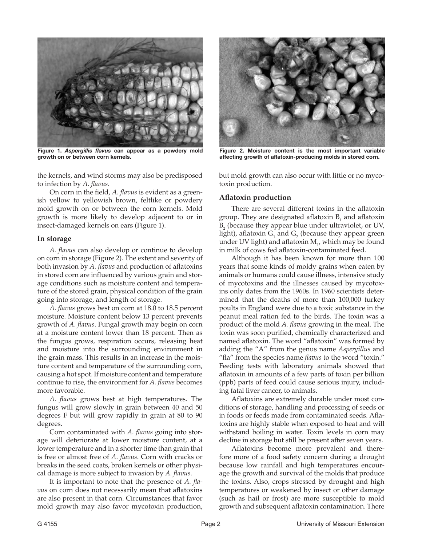

Figure 1. *Aspergillis flavus* can appear as a powdery mold growth on or between corn kernels.

the kernels, and wind storms may also be predisposed to infection by *A. flavus*.

On corn in the field, *A. flavus* is evident as a greenish yellow to yellowish brown, feltlike or powdery mold growth on or between the corn kernels. Mold growth is more likely to develop adjacent to or in insect-damaged kernels on ears (Figure 1).

#### **In storage**

*A. flavus* can also develop or continue to develop on corn in storage (Figure 2). The extent and severity of both invasion by *A. flavus* and production of aflatoxins in stored corn are influenced by various grain and storage conditions such as moisture content and temperature of the stored grain, physical condition of the grain going into storage, and length of storage.

*A. flavus* grows best on corn at 18.0 to 18.5 percent moisture. Moisture content below 13 percent prevents growth of *A. flavus*. Fungal growth may begin on corn at a moisture content lower than 18 percent. Then as the fungus grows, respiration occurs, releasing heat and moisture into the surrounding environment in the grain mass. This results in an increase in the moisture content and temperature of the surrounding corn, causing a hot spot. If moisture content and temperature continue to rise, the environment for *A. flavus* becomes more favorable.

*A. flavus* grows best at high temperatures. The fungus will grow slowly in grain between 40 and 50 degrees F but will grow rapidly in grain at 80 to 90 degrees.

Corn contaminated with *A. flavus* going into storage will deteriorate at lower moisture content, at a lower temperature and in a shorter time than grain that is free or almost free of *A. flavus*. Corn with cracks or breaks in the seed coats, broken kernels or other physical damage is more subject to invasion by *A. flavus*.

It is important to note that the presence of *A. flavus* on corn does not necessarily mean that aflatoxins are also present in that corn. Circumstances that favor mold growth may also favor mycotoxin production,



Figure 2. Moisture content is the most important variable affecting growth of aflatoxin-producing molds in stored corn.

but mold growth can also occur with little or no mycotoxin production.

#### **Aflatoxin production**

There are several different toxins in the aflatoxin group. They are designated aflatoxin  $B_1$  and aflatoxin  $B<sub>2</sub>$  (because they appear blue under ultraviolet, or UV, light), aflatoxin  $G_1$  and  $G_2$  (because they appear green under UV light) and aflatoxin  $M_{1}$ , which may be found in milk of cows fed aflatoxin-contaminated feed.

Although it has been known for more than 100 years that some kinds of moldy grains when eaten by animals or humans could cause illness, intensive study of mycotoxins and the illnesses caused by mycotoxins only dates from the 1960s. In 1960 scientists determined that the deaths of more than 100,000 turkey poults in England were due to a toxic substance in the peanut meal ration fed to the birds. The toxin was a product of the mold *A. flavus* growing in the meal. The toxin was soon purified, chemically characterized and named aflatoxin. The word "aflatoxin" was formed by adding the "A" from the genus name *Aspergillus* and "fla" from the species name *flavus* to the word "toxin." Feeding tests with laboratory animals showed that aflatoxin in amounts of a few parts of toxin per billion (ppb) parts of feed could cause serious injury, including fatal liver cancer, to animals.

Aflatoxins are extremely durable under most conditions of storage, handling and processing of seeds or in foods or feeds made from contaminated seeds. Aflatoxins are highly stable when exposed to heat and will withstand boiling in water. Toxin levels in corn may decline in storage but still be present after seven years.

Aflatoxins become more prevalent and therefore more of a food safety concern during a drought because low rainfall and high temperatures encourage the growth and survival of the molds that produce the toxins. Also, crops stressed by drought and high temperatures or weakened by insect or other damage (such as hail or frost) are more susceptible to mold growth and subsequent aflatoxin contamination. There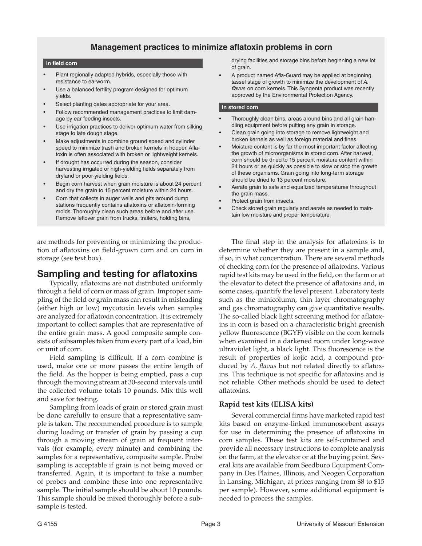## **Management practices to minimize aflatoxin problems in corn**

#### **In field corn**

- Plant regionally adapted hybrids, especially those with resistance to earworm.
- Use a balanced fertility program designed for optimum yields.
- Select planting dates appropriate for your area.
- Follow recommended management practices to limit damage by ear feeding insects.
- Use irrigation practices to deliver optimum water from silking stage to late dough stage.
- Make adjustments in combine ground speed and cylinder speed to minimize trash and broken kernels in hopper. Aflatoxin is often associated with broken or lightweight kernels.
- If drought has occurred during the season, consider harvesting irrigated or high-yielding fields separately from dryland or poor-yielding fields.
- Begin corn harvest when grain moisture is about 24 percent and dry the grain to 15 percent moisture within 24 hours.
- Corn that collects in auger wells and pits around dump stations frequently contains aflatoxins or aflatoxin-forming molds. Thoroughly clean such areas before and after use. Remove leftover grain from trucks, trailers, holding bins,

are methods for preventing or minimizing the production of aflatoxins on field-grown corn and on corn in storage (see text box).

# Sampling and testing for aflatoxins

Typically, aflatoxins are not distributed uniformly through a field of corn or mass of grain. Improper sampling of the field or grain mass can result in misleading (either high or low) mycotoxin levels when samples are analyzed for aflatoxin concentration. It is extremely important to collect samples that are representative of the entire grain mass. A good composite sample consists of subsamples taken from every part of a load, bin or unit of corn.

Field sampling is difficult. If a corn combine is used, make one or more passes the entire length of the field. As the hopper is being emptied, pass a cup through the moving stream at 30-second intervals until the collected volume totals 10 pounds. Mix this well and save for testing.

Sampling from loads of grain or stored grain must be done carefully to ensure that a representative sample is taken. The recommended procedure is to sample during loading or transfer of grain by passing a cup through a moving stream of grain at frequent intervals (for example, every minute) and combining the samples for a representative, composite sample. Probe sampling is acceptable if grain is not being moved or transferred. Again, it is important to take a number of probes and combine these into one representative sample. The initial sample should be about 10 pounds. This sample should be mixed thoroughly before a subsample is tested.

drying facilities and storage bins before beginning a new lot of grain.

A product named Afla-Guard may be applied at beginning tassel stage of growth to minimize the development of *A. flavus* on corn kernels. This Syngenta product was recently approved by the Environmental Protection Agency.

#### **In stored corn**

- Thoroughly clean bins, areas around bins and all grain handling equipment before putting any grain in storage.
- Clean grain going into storage to remove lightweight and broken kernels as well as foreign material and fines.
- Moisture content is by far the most important factor affecting the growth of microorganisms in stored corn. After harvest, corn should be dried to 15 percent moisture content within 24 hours or as quickly as possible to slow or stop the growth of these organisms. Grain going into long-term storage should be dried to 13 percent moisture.
- Aerate grain to safe and equalized temperatures throughout the grain mass.
- Protect grain from insects.
- Check stored grain regularly and aerate as needed to maintain low moisture and proper temperature.

The final step in the analysis for aflatoxins is to determine whether they are present in a sample and, if so, in what concentration. There are several methods of checking corn for the presence of aflatoxins. Various rapid test kits may be used in the field, on the farm or at the elevator to detect the presence of aflatoxins and, in some cases, quantify the level present. Laboratory tests such as the minicolumn, thin layer chromatography and gas chromatography can give quantitative results. The so-called black light screening method for aflatoxins in corn is based on a characteristic bright greenish yellow fluorescence (BGYF) visible on the corn kernels when examined in a darkened room under long-wave ultraviolet light, a black light. This fluorescence is the result of properties of kojic acid, a compound produced by *A. flavus* but not related directly to aflatoxins. This technique is not specific for aflatoxins and is not reliable. Other methods should be used to detect aflatoxins.

#### **Rapid test kits (ELISA kits)**

Several commercial firms have marketed rapid test kits based on enzyme-linked immunosorbent assays for use in determining the presence of aflatoxins in corn samples. These test kits are self-contained and provide all necessary instructions to complete analysis on the farm, at the elevator or at the buying point. Several kits are available from Seedburo Equipment Company in Des Plaines, Illinois, and Neogen Corporation in Lansing, Michigan, at prices ranging from \$8 to \$15 per sample). However, some additional equipment is needed to process the samples.